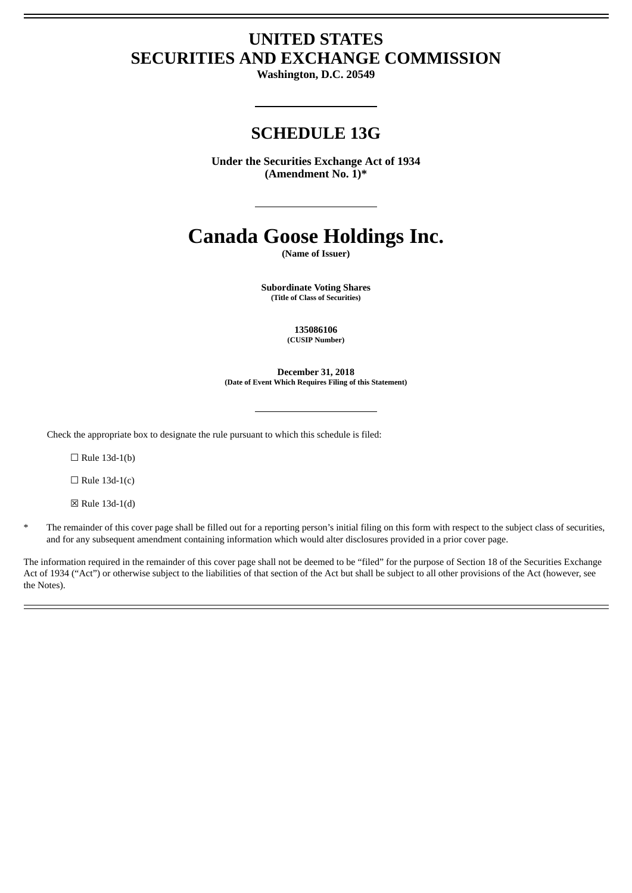# **UNITED STATES SECURITIES AND EXCHANGE COMMISSION**

**Washington, D.C. 20549**

## **SCHEDULE 13G**

**Under the Securities Exchange Act of 1934 (Amendment No. 1)\***

# **Canada Goose Holdings Inc.**

**(Name of Issuer)**

**Subordinate Voting Shares (Title of Class of Securities)**

> **135086106 (CUSIP Number)**

**December 31, 2018 (Date of Event Which Requires Filing of this Statement)**

Check the appropriate box to designate the rule pursuant to which this schedule is filed:

 $\Box$  Rule 13d-1(b)

 $\Box$  Rule 13d-1(c)

☒ Rule 13d-1(d)

The remainder of this cover page shall be filled out for a reporting person's initial filing on this form with respect to the subject class of securities, and for any subsequent amendment containing information which would alter disclosures provided in a prior cover page.

The information required in the remainder of this cover page shall not be deemed to be "filed" for the purpose of Section 18 of the Securities Exchange Act of 1934 ("Act") or otherwise subject to the liabilities of that section of the Act but shall be subject to all other provisions of the Act (however, see the Notes).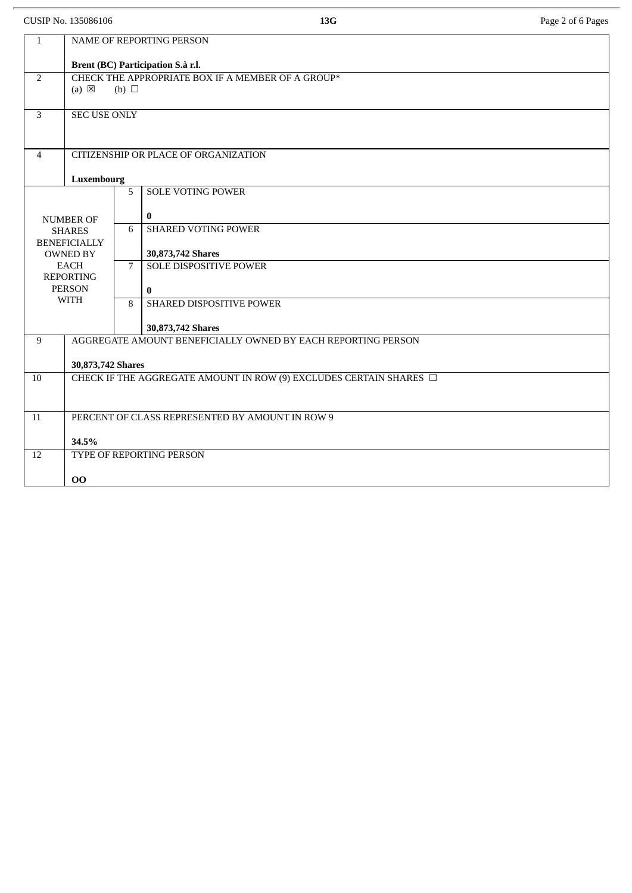CUSIP No. 135086106 **13G** Page 2 of 6 Pages

| $\mathbf{1}$                           | <b>NAME OF REPORTING PERSON</b>                                                    |                |                               |  |  |  |
|----------------------------------------|------------------------------------------------------------------------------------|----------------|-------------------------------|--|--|--|
|                                        | Brent (BC) Participation S.à r.l.                                                  |                |                               |  |  |  |
| $\overline{2}$                         | CHECK THE APPROPRIATE BOX IF A MEMBER OF A GROUP*<br>$(a) \boxtimes$<br>(b) $\Box$ |                |                               |  |  |  |
| 3                                      | <b>SEC USE ONLY</b>                                                                |                |                               |  |  |  |
| $\overline{4}$                         | CITIZENSHIP OR PLACE OF ORGANIZATION                                               |                |                               |  |  |  |
|                                        | Luxembourg                                                                         |                |                               |  |  |  |
|                                        |                                                                                    | 5              | <b>SOLE VOTING POWER</b>      |  |  |  |
| <b>NUMBER OF</b>                       |                                                                                    |                | $\bf{0}$                      |  |  |  |
|                                        | <b>SHARES</b>                                                                      | 6              | <b>SHARED VOTING POWER</b>    |  |  |  |
| <b>BENEFICIALLY</b><br><b>OWNED BY</b> |                                                                                    |                | 30,873,742 Shares             |  |  |  |
| <b>EACH</b>                            |                                                                                    | $\overline{7}$ | <b>SOLE DISPOSITIVE POWER</b> |  |  |  |
|                                        | <b>REPORTING</b><br><b>PERSON</b>                                                  |                | $\bf{0}$                      |  |  |  |
| <b>WITH</b>                            |                                                                                    | 8              | SHARED DISPOSITIVE POWER      |  |  |  |
|                                        |                                                                                    |                | 30,873,742 Shares             |  |  |  |
| 9                                      | AGGREGATE AMOUNT BENEFICIALLY OWNED BY EACH REPORTING PERSON                       |                |                               |  |  |  |
|                                        | 30,873,742 Shares                                                                  |                |                               |  |  |  |
| 10                                     | CHECK IF THE AGGREGATE AMOUNT IN ROW (9) EXCLUDES CERTAIN SHARES $\Box$            |                |                               |  |  |  |
|                                        |                                                                                    |                |                               |  |  |  |
| 11                                     | PERCENT OF CLASS REPRESENTED BY AMOUNT IN ROW 9                                    |                |                               |  |  |  |
| 34.5%                                  |                                                                                    |                |                               |  |  |  |
| 12                                     | TYPE OF REPORTING PERSON                                                           |                |                               |  |  |  |
|                                        | 00                                                                                 |                |                               |  |  |  |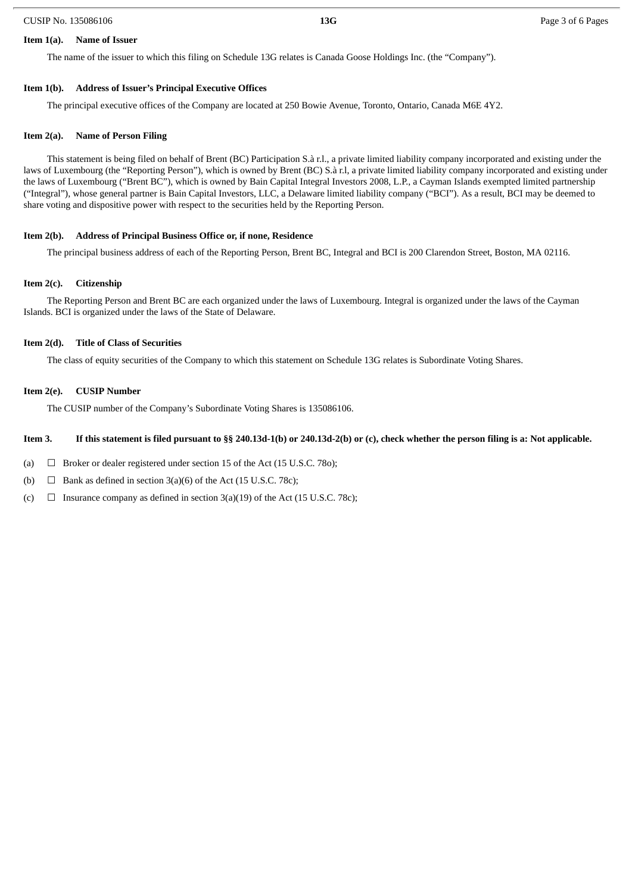#### CUSIP No. 135086106 **13G** Page 3 of 6 Pages

#### **Item 1(a). Name of Issuer**

The name of the issuer to which this filing on Schedule 13G relates is Canada Goose Holdings Inc. (the "Company").

#### **Item 1(b). Address of Issuer's Principal Executive Offices**

The principal executive offices of the Company are located at 250 Bowie Avenue, Toronto, Ontario, Canada M6E 4Y2.

#### **Item 2(a). Name of Person Filing**

This statement is being filed on behalf of Brent (BC) Participation S.à r.l., a private limited liability company incorporated and existing under the laws of Luxembourg (the "Reporting Person"), which is owned by Brent (BC) S.à r.l, a private limited liability company incorporated and existing under the laws of Luxembourg ("Brent BC"), which is owned by Bain Capital Integral Investors 2008, L.P., a Cayman Islands exempted limited partnership ("Integral"), whose general partner is Bain Capital Investors, LLC, a Delaware limited liability company ("BCI"). As a result, BCI may be deemed to share voting and dispositive power with respect to the securities held by the Reporting Person.

#### **Item 2(b). Address of Principal Business Office or, if none, Residence**

The principal business address of each of the Reporting Person, Brent BC, Integral and BCI is 200 Clarendon Street, Boston, MA 02116.

#### **Item 2(c). Citizenship**

The Reporting Person and Brent BC are each organized under the laws of Luxembourg. Integral is organized under the laws of the Cayman Islands. BCI is organized under the laws of the State of Delaware.

#### **Item 2(d). Title of Class of Securities**

The class of equity securities of the Company to which this statement on Schedule 13G relates is Subordinate Voting Shares.

#### **Item 2(e). CUSIP Number**

The CUSIP number of the Company's Subordinate Voting Shares is 135086106.

#### Item 3. If this statement is filed pursuant to §§ 240.13d-1(b) or 240.13d-2(b) or (c), check whether the person filing is a: Not applicable.

- (a)  $\Box$  Broker or dealer registered under section 15 of the Act (15 U.S.C. 780);
- (b)  $\Box$  Bank as defined in section 3(a)(6) of the Act (15 U.S.C. 78c);
- (c)  $\Box$  Insurance company as defined in section 3(a)(19) of the Act (15 U.S.C. 78c);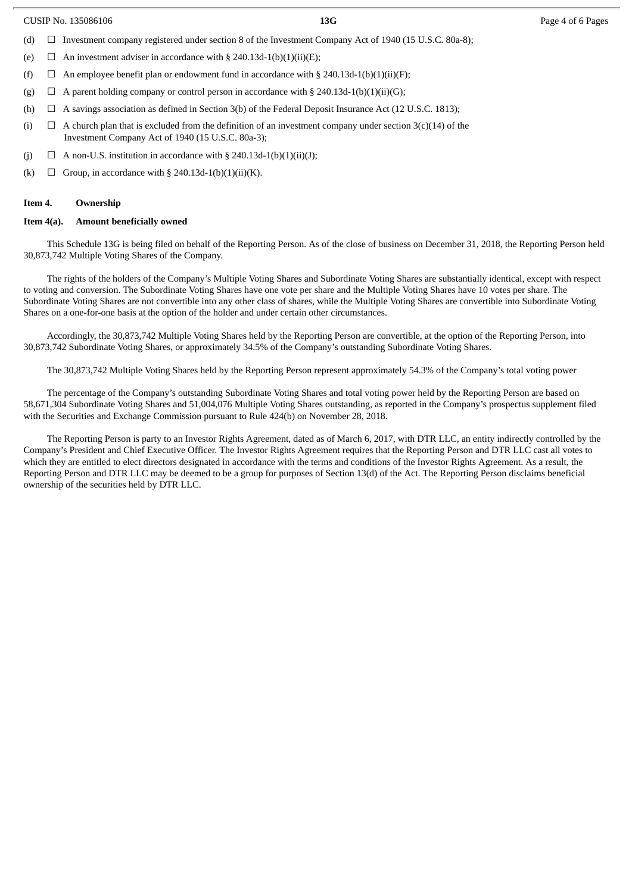| CUSIP No. 135086106 |  |
|---------------------|--|
|                     |  |

- (d)  $\Box$  Investment company registered under section 8 of the Investment Company Act of 1940 (15 U.S.C. 80a-8);
- (e)  $\Box$  An investment adviser in accordance with § 240.13d-1(b)(1)(ii)(E);
- (f)  $\Box$  An employee benefit plan or endowment fund in accordance with § 240.13d-1(b)(1)(ii)(F);
- (g)  $\Box$  A parent holding company or control person in accordance with § 240.13d-1(b)(1)(ii)(G);
- (h)  $\Box$  A savings association as defined in Section 3(b) of the Federal Deposit Insurance Act (12 U.S.C. 1813);
- (i)  $\Box$  A church plan that is excluded from the definition of an investment company under section 3(c)(14) of the Investment Company Act of 1940 (15 U.S.C. 80a-3);
- (j)  $\Box$  A non-U.S. institution in accordance with § 240.13d-1(b)(1)(ii)(J);
- (k)  $\Box$  Group, in accordance with § 240.13d-1(b)(1)(ii)(K).

#### **Item 4. Ownership**

#### **Item 4(a). Amount beneficially owned**

This Schedule 13G is being filed on behalf of the Reporting Person. As of the close of business on December 31, 2018, the Reporting Person held 30,873,742 Multiple Voting Shares of the Company.

The rights of the holders of the Company's Multiple Voting Shares and Subordinate Voting Shares are substantially identical, except with respect to voting and conversion. The Subordinate Voting Shares have one vote per share and the Multiple Voting Shares have 10 votes per share. The Subordinate Voting Shares are not convertible into any other class of shares, while the Multiple Voting Shares are convertible into Subordinate Voting Shares on a one-for-one basis at the option of the holder and under certain other circumstances.

Accordingly, the 30,873,742 Multiple Voting Shares held by the Reporting Person are convertible, at the option of the Reporting Person, into 30,873,742 Subordinate Voting Shares, or approximately 34.5% of the Company's outstanding Subordinate Voting Shares.

The 30,873,742 Multiple Voting Shares held by the Reporting Person represent approximately 54.3% of the Company's total voting power

The percentage of the Company's outstanding Subordinate Voting Shares and total voting power held by the Reporting Person are based on 58,671,304 Subordinate Voting Shares and 51,004,076 Multiple Voting Shares outstanding, as reported in the Company's prospectus supplement filed with the Securities and Exchange Commission pursuant to Rule 424(b) on November 28, 2018.

The Reporting Person is party to an Investor Rights Agreement, dated as of March 6, 2017, with DTR LLC, an entity indirectly controlled by the Company's President and Chief Executive Officer. The Investor Rights Agreement requires that the Reporting Person and DTR LLC cast all votes to which they are entitled to elect directors designated in accordance with the terms and conditions of the Investor Rights Agreement. As a result, the Reporting Person and DTR LLC may be deemed to be a group for purposes of Section 13(d) of the Act. The Reporting Person disclaims beneficial ownership of the securities held by DTR LLC.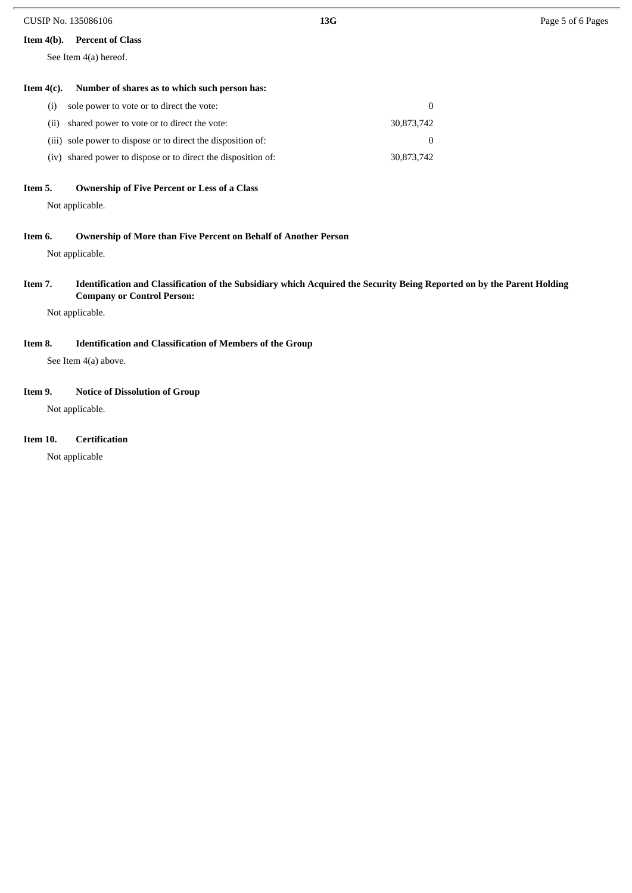#### **Item 4(b). Percent of Class**

See Item 4(a) hereof.

#### **Item 4(c). Number of shares as to which such person has:**

| (i) sole power to vote or to direct the vote:                 | 0          |
|---------------------------------------------------------------|------------|
| (ii) shared power to vote or to direct the vote:              | 30.873.742 |
| (iii) sole power to dispose or to direct the disposition of:  | $\Omega$   |
| (iv) shared power to dispose or to direct the disposition of: | 30.873.742 |

#### **Item 5. Ownership of Five Percent or Less of a Class**

Not applicable.

#### **Item 6. Ownership of More than Five Percent on Behalf of Another Person**

Not applicable.

#### Item 7. Identification and Classification of the Subsidiary which Acquired the Security Being Reported on by the Parent Holding **Company or Control Person:**

Not applicable.

### **Item 8. Identification and Classification of Members of the Group**

See Item 4(a) above.

#### **Item 9. Notice of Dissolution of Group**

Not applicable.

#### **Item 10. Certification**

Not applicable